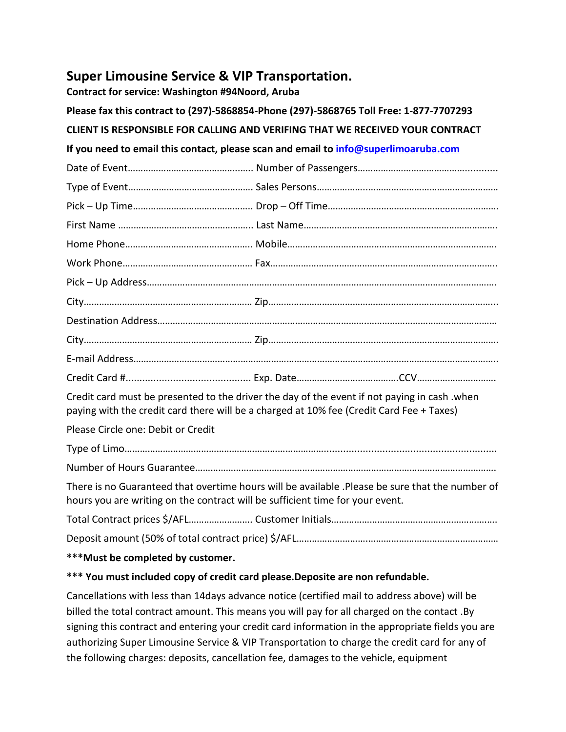## **Super Limousine Service & VIP Transportation.**

**Contract for service: Washington #94Noord, Aruba**

| Please fax this contract to (297)-5868854-Phone (297)-5868765 Toll Free: 1-877-7707293                                                                                                   |  |  |
|------------------------------------------------------------------------------------------------------------------------------------------------------------------------------------------|--|--|
| CLIENT IS RESPONSIBLE FOR CALLING AND VERIFING THAT WE RECEIVED YOUR CONTRACT                                                                                                            |  |  |
| If you need to email this contact, please scan and email to info@superlimoaruba.com                                                                                                      |  |  |
|                                                                                                                                                                                          |  |  |
|                                                                                                                                                                                          |  |  |
|                                                                                                                                                                                          |  |  |
|                                                                                                                                                                                          |  |  |
|                                                                                                                                                                                          |  |  |
|                                                                                                                                                                                          |  |  |
|                                                                                                                                                                                          |  |  |
|                                                                                                                                                                                          |  |  |
|                                                                                                                                                                                          |  |  |
|                                                                                                                                                                                          |  |  |
|                                                                                                                                                                                          |  |  |
|                                                                                                                                                                                          |  |  |
| Credit card must be presented to the driver the day of the event if not paying in cash .when<br>paying with the credit card there will be a charged at 10% fee (Credit Card Fee + Taxes) |  |  |
| Please Circle one: Debit or Credit                                                                                                                                                       |  |  |
|                                                                                                                                                                                          |  |  |
|                                                                                                                                                                                          |  |  |
| There is no Guaranteed that overtime hours will be available .Please be sure that the number of<br>hours you are writing on the contract will be sufficient time for your event.         |  |  |
|                                                                                                                                                                                          |  |  |
|                                                                                                                                                                                          |  |  |
| *** Must be completed by customer.                                                                                                                                                       |  |  |

## **\*\*\* You must included copy of credit card please.Deposite are non refundable.**

Cancellations with less than 14days advance notice (certified mail to address above) will be billed the total contract amount. This means you will pay for all charged on the contact .By signing this contract and entering your credit card information in the appropriate fields you are authorizing Super Limousine Service & VIP Transportation to charge the credit card for any of the following charges: deposits, cancellation fee, damages to the vehicle, equipment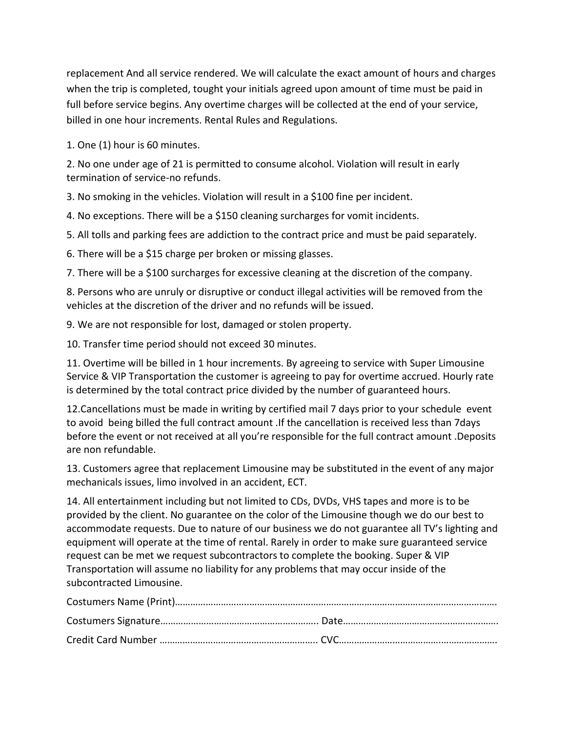replacement And all service rendered. We will calculate the exact amount of hours and charges when the trip is completed, tought your initials agreed upon amount of time must be paid in full before service begins. Any overtime charges will be collected at the end of your service, billed in one hour increments. Rental Rules and Regulations.

1. One (1) hour is 60 minutes.

2. No one under age of 21 is permitted to consume alcohol. Violation will result in early termination of service-no refunds.

3. No smoking in the vehicles. Violation will result in a \$100 fine per incident.

4. No exceptions. There will be a \$150 cleaning surcharges for vomit incidents.

5. All tolls and parking fees are addiction to the contract price and must be paid separately.

6. There will be a \$15 charge per broken or missing glasses.

7. There will be a \$100 surcharges for excessive cleaning at the discretion of the company.

8. Persons who are unruly or disruptive or conduct illegal activities will be removed from the vehicles at the discretion of the driver and no refunds will be issued.

9. We are not responsible for lost, damaged or stolen property.

10. Transfer time period should not exceed 30 minutes.

11. Overtime will be billed in 1 hour increments. By agreeing to service with Super Limousine Service & VIP Transportation the customer is agreeing to pay for overtime accrued. Hourly rate is determined by the total contract price divided by the number of guaranteed hours.

12.Cancellations must be made in writing by certified mail 7 days prior to your schedule event to avoid being billed the full contract amount .If the cancellation is received less than 7days before the event or not received at all you're responsible for the full contract amount .Deposits are non refundable.

13. Customers agree that replacement Limousine may be substituted in the event of any major mechanicals issues, limo involved in an accident, ECT.

14. All entertainment including but not limited to CDs, DVDs, VHS tapes and more is to be provided by the client. No guarantee on the color of the Limousine though we do our best to accommodate requests. Due to nature of our business we do not guarantee all TV's lighting and equipment will operate at the time of rental. Rarely in order to make sure guaranteed service request can be met we request subcontractors to complete the booking. Super & VIP Transportation will assume no liability for any problems that may occur inside of the subcontracted Limousine.